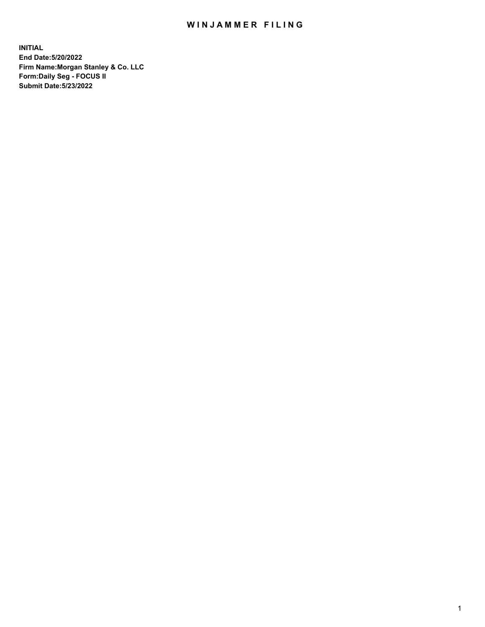## WIN JAMMER FILING

**INITIAL End Date:5/20/2022 Firm Name:Morgan Stanley & Co. LLC Form:Daily Seg - FOCUS II Submit Date:5/23/2022**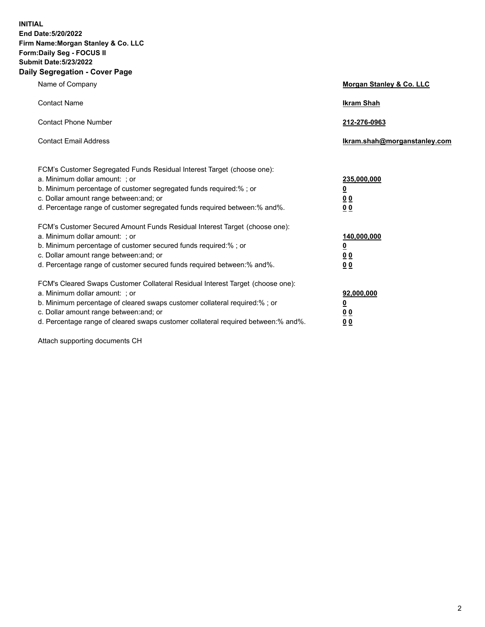**INITIAL End Date:5/20/2022 Firm Name:Morgan Stanley & Co. LLC Form:Daily Seg - FOCUS II Submit Date:5/23/2022 Daily Segregation - Cover Page**

| Name of Company                                                                                                                                                                                                                                                                                                                | Morgan Stanley & Co. LLC                               |
|--------------------------------------------------------------------------------------------------------------------------------------------------------------------------------------------------------------------------------------------------------------------------------------------------------------------------------|--------------------------------------------------------|
| <b>Contact Name</b>                                                                                                                                                                                                                                                                                                            | <b>Ikram Shah</b>                                      |
| <b>Contact Phone Number</b>                                                                                                                                                                                                                                                                                                    | 212-276-0963                                           |
| <b>Contact Email Address</b>                                                                                                                                                                                                                                                                                                   | Ikram.shah@morganstanley.com                           |
| FCM's Customer Segregated Funds Residual Interest Target (choose one):<br>a. Minimum dollar amount: ; or<br>b. Minimum percentage of customer segregated funds required:% ; or<br>c. Dollar amount range between: and; or<br>d. Percentage range of customer segregated funds required between:% and%.                         | 235,000,000<br><u>0</u><br>0 <sup>0</sup><br><u>00</u> |
| FCM's Customer Secured Amount Funds Residual Interest Target (choose one):<br>a. Minimum dollar amount: ; or<br>b. Minimum percentage of customer secured funds required:% ; or<br>c. Dollar amount range between: and; or<br>d. Percentage range of customer secured funds required between:% and%.                           | 140,000,000<br><u>0</u><br><u>00</u><br>00             |
| FCM's Cleared Swaps Customer Collateral Residual Interest Target (choose one):<br>a. Minimum dollar amount: ; or<br>b. Minimum percentage of cleared swaps customer collateral required:% ; or<br>c. Dollar amount range between: and; or<br>d. Percentage range of cleared swaps customer collateral required between:% and%. | 92,000,000<br><u>0</u><br><u>00</u><br>00              |

Attach supporting documents CH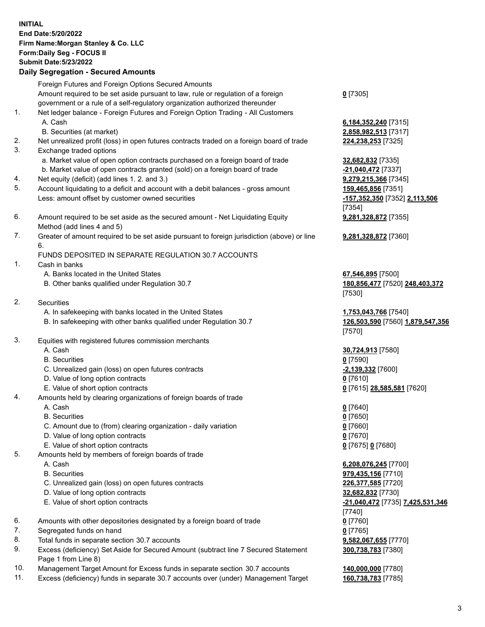## **INITIAL End Date:5/20/2022 Firm Name:Morgan Stanley & Co. LLC Form:Daily Seg - FOCUS II Submit Date:5/23/2022 Daily Segregation - Secured Amounts** Foreign Futures and Foreign Options Secured Amounts Amount required to be set aside pursuant to law, rule or regulation of a foreign government or a rule of a self-regulatory organization authorized thereunder 1. Net ledger balance - Foreign Futures and Foreign Option Trading - All Customers A. Cash **6,184,352,240** [7315] B. Securities (at market) **2,858,982,513** [7317] 2. Net unrealized profit (loss) in open futures contracts traded on a foreign board of trade **224,238,253** [7325] 3. Exchange traded options a. Market value of open option contracts purchased on a foreign board of trade **32,682,832** [7335] b. Market value of open contracts granted (sold) on a foreign board of trade **-21,040,472** [7337] 4. Net equity (deficit) (add lines 1. 2. and 3.) **9,279,215,366** [7345] 5. Account liquidating to a deficit and account with a debit balances - gross amount **159,465,856** [7351] Less: amount offset by customer owned securities **-157,352,350** [7352] **2,113,506** 6. Amount required to be set aside as the secured amount - Net Liquidating Equity Method (add lines 4 and 5) 7. Greater of amount required to be set aside pursuant to foreign jurisdiction (above) or line 6. FUNDS DEPOSITED IN SEPARATE REGULATION 30.7 ACCOUNTS 1. Cash in banks A. Banks located in the United States **67,546,895** [7500] B. Other banks qualified under Regulation 30.7 **180,856,477** [7520] **248,403,372** 2. Securities A. In safekeeping with banks located in the United States **1,753,043,766** [7540] B. In safekeeping with other banks qualified under Regulation 30.7 **126,503,590** [7560] **1,879,547,356** 3. Equities with registered futures commission merchants A. Cash **30,724,913** [7580] B. Securities **0** [7590] C. Unrealized gain (loss) on open futures contracts **-2,139,332** [7600] D. Value of long option contracts **0** [7610] E. Value of short option contracts **0** [7615] **28,585,581** [7620] 4. Amounts held by clearing organizations of foreign boards of trade A. Cash **0** [7640] B. Securities **0** [7650] C. Amount due to (from) clearing organization - daily variation **0** [7660] D. Value of long option contracts **0** [7670] E. Value of short option contracts **0** [7675] **0** [7680] 5. Amounts held by members of foreign boards of trade A. Cash **6,208,076,245** [7700] B. Securities **979,435,156** [7710] C. Unrealized gain (loss) on open futures contracts **226,377,585** [7720]

- D. Value of long option contracts **32,682,832** [7730]
- 
- 6. Amounts with other depositories designated by a foreign board of trade **0** [7760]
- 7. Segregated funds on hand **0** [7765]
- 8. Total funds in separate section 30.7 accounts **9,582,067,655** [7770]
- 9. Excess (deficiency) Set Aside for Secured Amount (subtract line 7 Secured Statement Page 1 from Line 8)
- 10. Management Target Amount for Excess funds in separate section 30.7 accounts **140,000,000** [7780]
- 11. Excess (deficiency) funds in separate 30.7 accounts over (under) Management Target **160,738,783** [7785]

**0** [7305]

[7354] **9,281,328,872** [7355]

**9,281,328,872** [7360]

[7530]

[7570]

 E. Value of short option contracts **-21,040,472** [7735] **7,425,531,346** [7740] **300,738,783** [7380]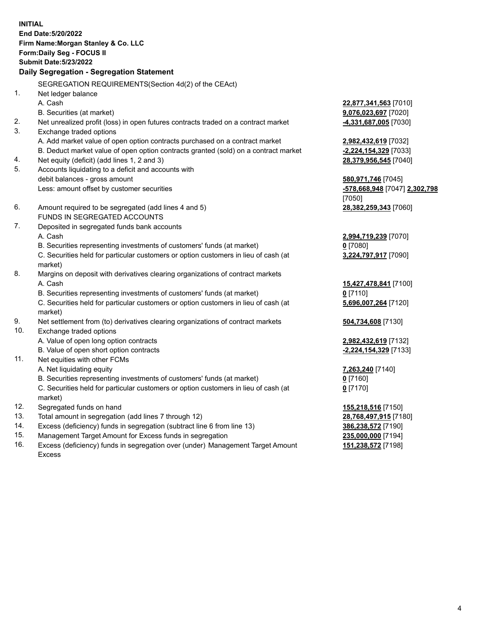**INITIAL End Date:5/20/2022 Firm Name:Morgan Stanley & Co. LLC Form:Daily Seg - FOCUS II Submit Date:5/23/2022 Daily Segregation - Segregation Statement** SEGREGATION REQUIREMENTS(Section 4d(2) of the CEAct) 1. Net ledger balance A. Cash **22,877,341,563** [7010] B. Securities (at market) **9,076,023,697** [7020] 2. Net unrealized profit (loss) in open futures contracts traded on a contract market **-4,331,687,005** [7030] 3. Exchange traded options A. Add market value of open option contracts purchased on a contract market **2,982,432,619** [7032] B. Deduct market value of open option contracts granted (sold) on a contract market **-2,224,154,329** [7033] 4. Net equity (deficit) (add lines 1, 2 and 3) **28,379,956,545** [7040] 5. Accounts liquidating to a deficit and accounts with debit balances - gross amount **580,971,746** [7045] Less: amount offset by customer securities **-578,668,948** [7047] **2,302,798** [7050] 6. Amount required to be segregated (add lines 4 and 5) **28,382,259,343** [7060] FUNDS IN SEGREGATED ACCOUNTS 7. Deposited in segregated funds bank accounts A. Cash **2,994,719,239** [7070] B. Securities representing investments of customers' funds (at market) **0** [7080] C. Securities held for particular customers or option customers in lieu of cash (at market) **3,224,797,917** [7090] 8. Margins on deposit with derivatives clearing organizations of contract markets A. Cash **15,427,478,841** [7100] B. Securities representing investments of customers' funds (at market) **0** [7110] C. Securities held for particular customers or option customers in lieu of cash (at market) **5,696,007,264** [7120] 9. Net settlement from (to) derivatives clearing organizations of contract markets **504,734,608** [7130] 10. Exchange traded options A. Value of open long option contracts **2,982,432,619** [7132] B. Value of open short option contracts **-2,224,154,329** [7133] 11. Net equities with other FCMs A. Net liquidating equity **7,263,240** [7140] B. Securities representing investments of customers' funds (at market) **0** [7160] C. Securities held for particular customers or option customers in lieu of cash (at market) **0** [7170] 12. Segregated funds on hand **155,218,516** [7150] 13. Total amount in segregation (add lines 7 through 12) **28,768,497,915** [7180] 14. Excess (deficiency) funds in segregation (subtract line 6 from line 13) **386,238,572** [7190] 15. Management Target Amount for Excess funds in segregation **235,000,000** [7194]

16. Excess (deficiency) funds in segregation over (under) Management Target Amount Excess

**151,238,572** [7198]